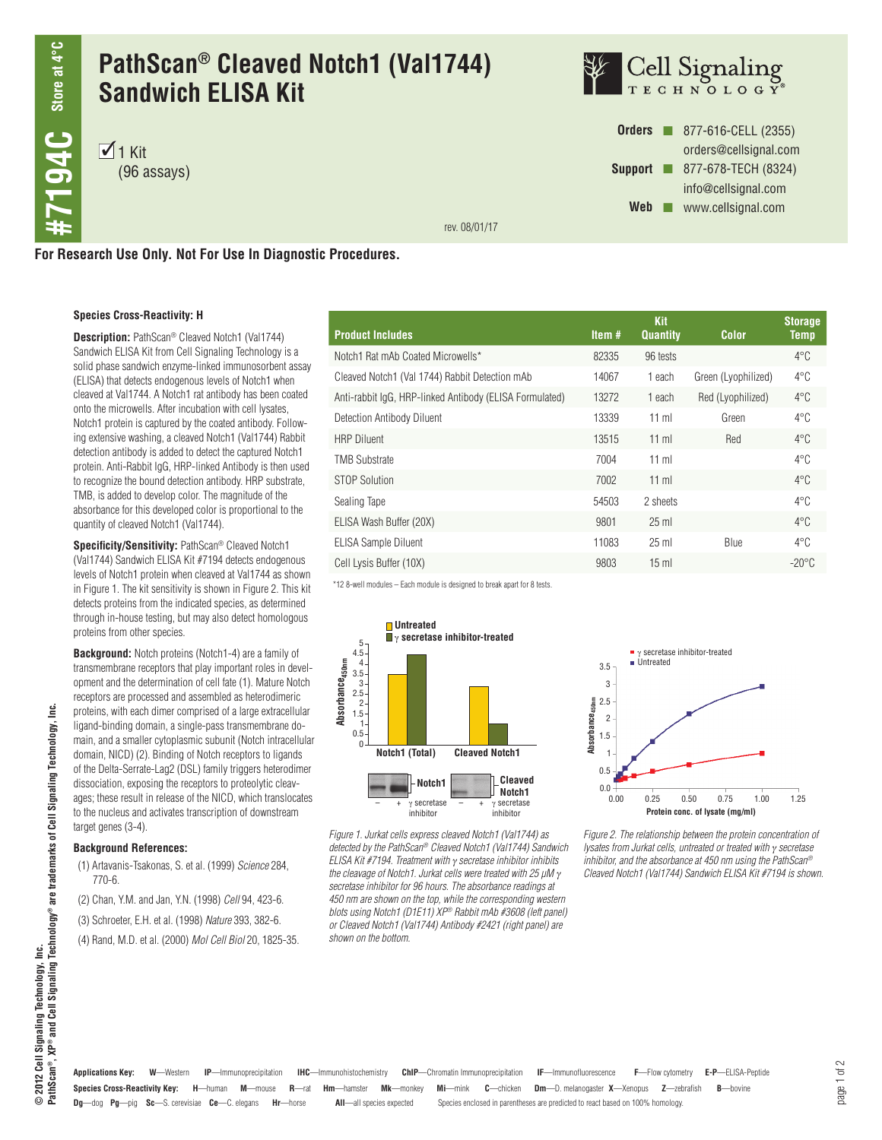# **PathScan® Cleaved Notch1 (Val1744) Sandwich ELISA Kit**

 $\overline{1}$  1 Kit (96 assays)



**Orders n** 877-616-CELL (2355) orders@cellsignal.com **Support n** 877-678-TECH (8324) info@cellsignal.com Web **www.cellsignal.com** 

rev. 08/01/17

**For Research Use Only. Not For Use In Diagnostic Procedures.**

### **Species Cross-Reactivity: H**

**Description:** PathScan® Cleaved Notch1 (Val1744) Sandwich ELISA Kit from Cell Signaling Technology is a solid phase sandwich enzyme-linked immunosorbent assay (ELISA) that detects endogenous levels of Notch1 when cleaved at Val1744. A Notch1 rat antibody has been coated onto the microwells. After incubation with cell lysates, Notch1 protein is captured by the coated antibody. Following extensive washing, a cleaved Notch1 (Val1744) Rabbit detection antibody is added to detect the captured Notch1 protein. Anti-Rabbit IgG, HRP-linked Antibody is then used to recognize the bound detection antibody. HRP substrate, TMB, is added to develop color. The magnitude of the absorbance for this developed color is proportional to the quantity of cleaved Notch1 (Val1744).

**Specificity/Sensitivity:** PathScan® Cleaved Notch1 (Val1744) Sandwich ELISA Kit #7194 detects endogenous levels of Notch1 protein when cleaved at Val1744 as shown in Figure 1. The kit sensitivity is shown in Figure 2. This kit detects proteins from the indicated species, as determined through in-house testing, but may also detect homologous proteins from other species.

**Background:** Notch proteins (Notch1-4) are a family of transmembrane receptors that play important roles in development and the determination of cell fate (1). Mature Notch receptors are processed and assembled as heterodimeric proteins, with each dimer comprised of a large extracellular ligand-binding domain, a single-pass transmembrane domain, and a smaller cytoplasmic subunit (Notch intracellular domain, NICD) (2). Binding of Notch receptors to ligands of the Delta-Serrate-Lag2 (DSL) family triggers heterodimer dissociation, exposing the receptors to proteolytic cleavages; these result in release of the NICD, which translocates to the nucleus and activates transcription of downstream target genes (3-4).

#### **Background References:**

- (1) Artavanis-Tsakonas, S. et al. (1999) *Science* 284, 770-6.
- (2) Chan, Y.M. and Jan, Y.N. (1998) *Cell* 94, 423-6.
- (3) Schroeter, E.H. et al. (1998) *Nature* 393, 382-6.
- (4) Rand, M.D. et al. (2000) *Mol Cell Biol* 20, 1825-35.

| <b>Product Includes</b>                                 | Item $#$ | <b>Kit</b><br><b>Quantity</b> | <b>Color</b>        | <b>Storage</b><br><b>Temp</b> |
|---------------------------------------------------------|----------|-------------------------------|---------------------|-------------------------------|
| Notch1 Rat mAb Coated Microwells*                       | 82335    | 96 tests                      |                     | $4^{\circ}$ C                 |
| Cleaved Notch1 (Val 1744) Rabbit Detection mAb          | 14067    | 1 each                        | Green (Lyophilized) | $4^{\circ}$ C                 |
| Anti-rabbit IqG, HRP-linked Antibody (ELISA Formulated) | 13272    | 1 each                        | Red (Lyophilized)   | $4^{\circ}$ C                 |
| Detection Antibody Diluent                              | 13339    | $11$ ml                       | Green               | $4^{\circ}$ C                 |
| <b>HRP Diluent</b>                                      | 13515    | $11$ ml                       | Red                 | $4^{\circ}$ C                 |
| <b>TMB Substrate</b>                                    | 7004     | $11$ ml                       |                     | $4^{\circ}$ C                 |
| STOP Solution                                           | 7002     | $11$ ml                       |                     | $4^{\circ}$ C                 |
| Sealing Tape                                            | 54503    | 2 sheets                      |                     | $4^{\circ}$ C                 |
| ELISA Wash Buffer (20X)                                 | 9801     | $25$ ml                       |                     | $4^{\circ}$ C                 |
| <b>ELISA Sample Diluent</b>                             | 11083    | $25$ ml                       | <b>Blue</b>         | $4^{\circ}$ C                 |
| Cell Lysis Buffer (10X)                                 | 9803     | $15 \text{ ml}$               |                     | $-20^{\circ}$ C               |

\*12 8-well modules – Each module is designed to break apart for 8 tests.



*Figure 1. Jurkat cells express cleaved Notch1 (Val1744) as detected by the PathScan® Cleaved Notch1 (Val1744) Sandwich ELISA Kit #7194. Treatment with* γ *secretase inhibitor inhibits the cleavage of Notch1. Jurkat cells were treated with 25 μM* <sup>γ</sup> *secretase inhibitor for 96 hours. The absorbance readings at 450 nm are shown on the top, while the corresponding western blots using Notch1 (D1E11) XP® Rabbit mAb #3608 (left panel) or Cleaved Notch1 (Val1744) Antibody #2421 (right panel) are shown on the bottom.*



*Figure 2. The relationship between the protein concentration of lysates from Jurkat cells, untreated or treated with* γ *secretase inhibitor, and the absorbance at 450 nm using the PathScan® Cleaved Notch1 (Val1744) Sandwich ELISA Kit #7194 is shown.*

ۊ

**Species Cross-Reactivity Key: H**—human **M**—mouse **R**—rat **Hm**—hamster **Mk**—monkey **Mi**—mink **C**—chicken **Dm**—D. melanogaster **X**—Xenopus **Z**—zebrafish **B**—bovine **Applications Key: W**—Western **IP**—Immunoprecipitation **IHC**—Immunohistochemistry **ChIP**—Chromatin Immunoprecipitation **IF**—Immunofluorescence **F**—Flow cytometry **E-P**—ELISA-Peptide

**Dg**—dog **Pg**—pig **Sc**—S. cerevisiae **Ce**—C. elegans **Hr**—horse **All**—all species expected Species enclosed in parentheses are predicted to react based on 100% homology.